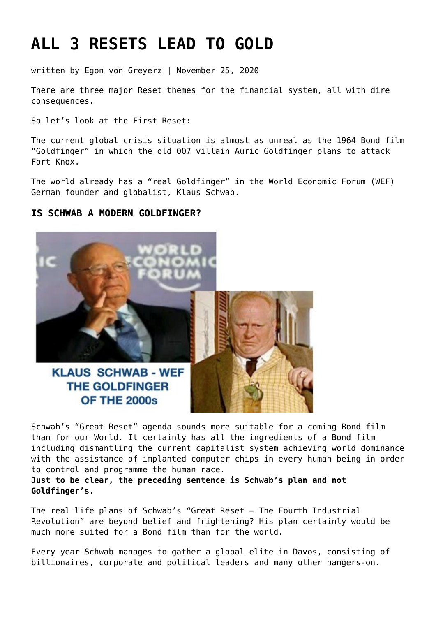# **[ALL 3 RESETS LEAD TO GOLD](https://goldswitzerland.com/all-3-resets-lead-to-gold/)**

written by Egon von Greyerz | November 25, 2020

There are three major Reset themes for the financial system, all with dire consequences.

So let's look at the First Reset:

The current global crisis situation is almost as unreal as the 1964 Bond film "Goldfinger" in which the old 007 villain Auric Goldfinger plans to attack Fort Knox.

The world already has a "real Goldfinger" in the World Economic Forum (WEF) German founder and globalist, Klaus Schwab.

# **IS SCHWAB A MODERN GOLDFINGER?**



Schwab's "Great Reset" agenda sounds more suitable for a coming Bond film than for our World. It certainly has all the ingredients of a Bond film including dismantling the current capitalist system achieving world dominance with the assistance of implanted computer chips in every human being in order to control and programme the human race.

**Just to be clear, the preceding sentence is Schwab's plan and not Goldfinger's.**

The real life plans of Schwab's "Great Reset – The Fourth Industrial Revolution" are beyond belief and frightening? His plan certainly would be much more suited for a Bond film than for the world.

Every year Schwab manages to gather a global elite in Davos, consisting of billionaires, corporate and political leaders and many other hangers-on.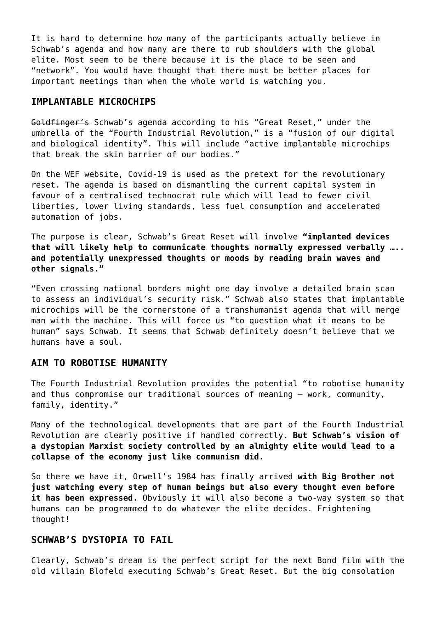It is hard to determine how many of the participants actually believe in Schwab's agenda and how many are there to rub shoulders with the global elite. Most seem to be there because it is the place to be seen and "network". You would have thought that there must be better places for important meetings than when the whole world is watching you.

## **IMPLANTABLE MICROCHIPS**

Goldfinger's Schwab's agenda according to his "Great Reset," under the umbrella of the "Fourth Industrial Revolution," is a "fusion of our digital and biological identity". This will include "active implantable microchips that break the skin barrier of our bodies."

On the WEF website, Covid-19 is used as the pretext for the revolutionary reset. The agenda is based on dismantling the current capital system in favour of a centralised technocrat rule which will lead to fewer civil liberties, lower living standards, less fuel consumption and accelerated automation of jobs.

The purpose is clear, Schwab's Great Reset will involve **"implanted devices that will likely help to communicate thoughts normally expressed verbally ….. and potentially unexpressed thoughts or moods by reading brain waves and other signals."**

"Even crossing national borders might one day involve a detailed brain scan to assess an individual's security risk." Schwab also states that implantable microchips will be the cornerstone of a transhumanist agenda that will merge man with the machine. This will force us "to question what it means to be human" says Schwab. It seems that Schwab definitely doesn't believe that we humans have a soul.

#### **AIM TO ROBOTISE HUMANITY**

The Fourth Industrial Revolution provides the potential "to robotise humanity and thus compromise our traditional sources of meaning – work, community, family, identity."

Many of the technological developments that are part of the Fourth Industrial Revolution are clearly positive if handled correctly. **But Schwab's vision of a dystopian Marxist society controlled by an almighty elite would lead to a collapse of the economy just like communism did.**

So there we have it, Orwell's 1984 has finally arrived **with Big Brother not just watching every step of human beings but also every thought even before it has been expressed.** Obviously it will also become a two-way system so that humans can be programmed to do whatever the elite decides. Frightening thought!

#### **SCHWAB'S DYSTOPIA TO FAIL**

Clearly, Schwab's dream is the perfect script for the next Bond film with the old villain Blofeld executing Schwab's Great Reset. But the big consolation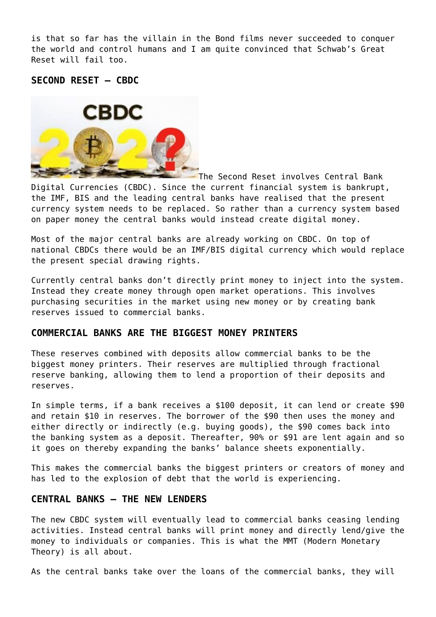is that so far has the villain in the Bond films never succeeded to conquer the world and control humans and I am quite convinced that Schwab's Great Reset will fail too.

#### **SECOND RESET – CBDC**



The Second Reset involves Central Bank Digital Currencies (CBDC). Since the current financial system is bankrupt, the IMF, BIS and the leading central banks have realised that the present currency system needs to be replaced. So rather than a currency system based on paper money the central banks would instead create digital money.

Most of the major central banks are already working on CBDC. On top of national CBDCs there would be an IMF/BIS digital currency which would replace the present special drawing rights.

Currently central banks don't directly print money to inject into the system. Instead they create money through open market operations. This involves purchasing securities in the market using new money or by creating bank reserves issued to commercial banks.

#### **COMMERCIAL BANKS ARE THE BIGGEST MONEY PRINTERS**

These reserves combined with deposits allow commercial banks to be the biggest money printers. Their reserves are multiplied through fractional reserve banking, allowing them to lend a proportion of their deposits and reserves.

In simple terms, if a bank receives a \$100 deposit, it can lend or create \$90 and retain \$10 in reserves. The borrower of the \$90 then uses the money and either directly or indirectly (e.g. buying goods), the \$90 comes back into the banking system as a deposit. Thereafter, 90% or \$91 are lent again and so it goes on thereby expanding the banks' balance sheets exponentially.

This makes the commercial banks the biggest printers or creators of money and has led to the explosion of debt that the world is experiencing.

#### **CENTRAL BANKS – THE NEW LENDERS**

The new CBDC system will eventually lead to commercial banks ceasing lending activities. Instead central banks will print money and directly lend/give the money to individuals or companies. This is what the MMT (Modern Monetary Theory) is all about.

As the central banks take over the loans of the commercial banks, they will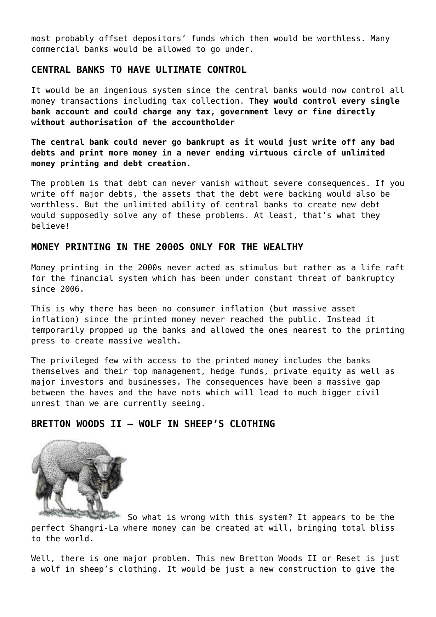most probably offset depositors' funds which then would be worthless. Many commercial banks would be allowed to go under.

# **CENTRAL BANKS TO HAVE ULTIMATE CONTROL**

It would be an ingenious system since the central banks would now control all money transactions including tax collection. **They would control every single bank account and could charge any tax, government levy or fine directly without authorisation of the accountholder**

**The central bank could never go bankrupt as it would just write off any bad debts and print more money in a never ending virtuous circle of unlimited money printing and debt creation.**

The problem is that debt can never vanish without severe consequences. If you write off major debts, the assets that the debt were backing would also be worthless. But the unlimited ability of central banks to create new debt would supposedly solve any of these problems. At least, that's what they believe!

## **MONEY PRINTING IN THE 2000S ONLY FOR THE WEALTHY**

Money printing in the 2000s never acted as stimulus but rather as a life raft for the financial system which has been under constant threat of bankruptcy since 2006.

This is why there has been no consumer inflation (but massive asset inflation) since the printed money never reached the public. Instead it temporarily propped up the banks and allowed the ones nearest to the printing press to create massive wealth.

The privileged few with access to the printed money includes the banks themselves and their top management, hedge funds, private equity as well as major investors and businesses. The consequences have been a massive gap between the haves and the have nots which will lead to much bigger civil unrest than we are currently seeing.

## **BRETTON WOODS II – WOLF IN SHEEP'S CLOTHING**



So what is wrong with this system? It appears to be the perfect Shangri-La where money can be created at will, bringing total bliss to the world.

Well, there is one major problem. This new Bretton Woods II or Reset is just a wolf in sheep's clothing. It would be just a new construction to give the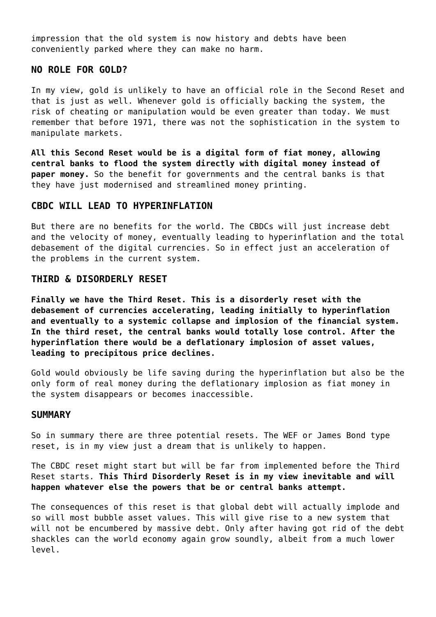impression that the old system is now history and debts have been conveniently parked where they can make no harm.

## **NO ROLE FOR GOLD?**

In my view, gold is unlikely to have an official role in the Second Reset and that is just as well. Whenever gold is officially backing the system, the risk of cheating or manipulation would be even greater than today. We must remember that before 1971, there was not the sophistication in the system to manipulate markets.

**All this Second Reset would be is a digital form of fiat money, allowing central banks to flood the system directly with digital money instead of paper money.** So the benefit for governments and the central banks is that they have just modernised and streamlined money printing.

## **CBDC WILL LEAD TO HYPERINFLATION**

But there are no benefits for the world. The CBDCs will just increase debt and the velocity of money, eventually leading to hyperinflation and the total debasement of the digital currencies. So in effect just an acceleration of the problems in the current system.

#### **THIRD & DISORDERLY RESET**

**Finally we have the Third Reset. This is a disorderly reset with the debasement of currencies accelerating, leading initially to hyperinflation and eventually to a systemic collapse and implosion of the financial system. In the third reset, the central banks would totally lose control. After the hyperinflation there would be a deflationary implosion of asset values, leading to precipitous price declines.**

Gold would obviously be life saving during the hyperinflation but also be the only form of real money during the deflationary implosion as fiat money in the system disappears or becomes inaccessible.

#### **SUMMARY**

So in summary there are three potential resets. The WEF or James Bond type reset, is in my view just a dream that is unlikely to happen.

The CBDC reset might start but will be far from implemented before the Third Reset starts. **This Third Disorderly Reset is in my view inevitable and will happen whatever else the powers that be or central banks attempt.**

The consequences of this reset is that global debt will actually implode and so will most bubble asset values. This will give rise to a new system that will not be encumbered by massive debt. Only after having got rid of the debt shackles can the world economy again grow soundly, albeit from a much lower level.